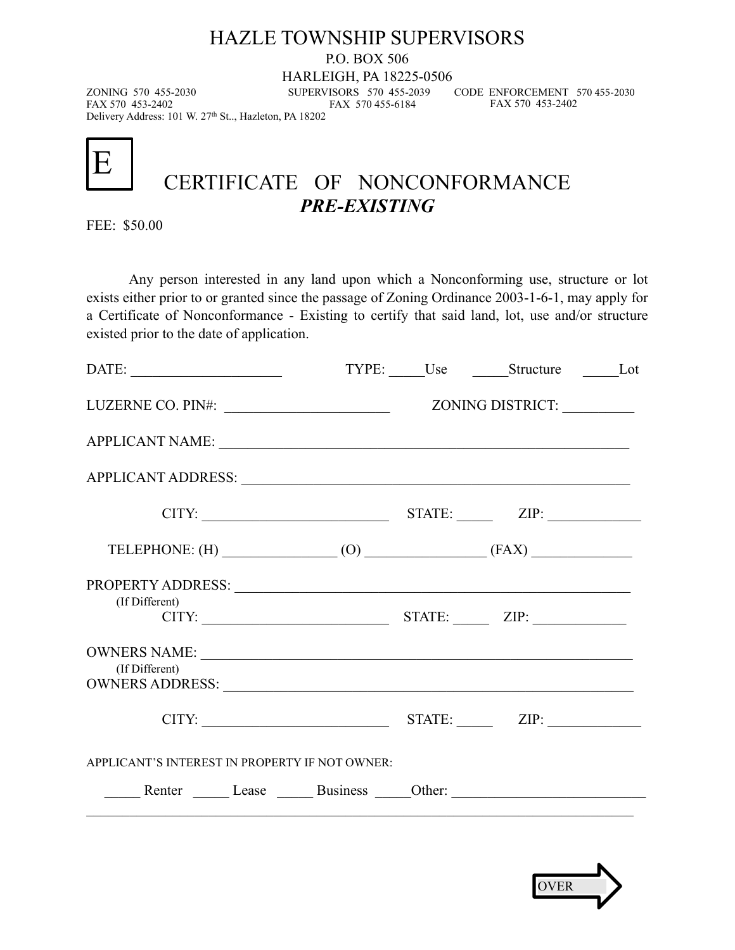### HAZLE TOWNSHIP SUPERVISORS

P.O. BOX 506

HARLEIGH, PA 18225-0506

FAX 570 455-6184

 CODE ENFORCEMENT 570 455-2030 FAX 570 453-2402

ZONING 570 455-2030 SUPERVISORS 570 455-2039 Delivery Address: 101 W. 27th St.., Hazleton, PA 18202

E

# CERTIFICATE OF NONCONFORMANCE *PRE-EXISTING*

FEE: \$50.00

Any person interested in any land upon which a Nonconforming use, structure or lot exists either prior to or granted since the passage of Zoning Ordinance 2003-1-6-1, may apply for a Certificate of Nonconformance - Existing to certify that said land, lot, use and/or structure existed prior to the date of application.

| DATE:                                                                                                                                                                                                                                           |  | TYPE: Use Structure Lot |  |
|-------------------------------------------------------------------------------------------------------------------------------------------------------------------------------------------------------------------------------------------------|--|-------------------------|--|
| LUZERNE CO. PIN#:                                                                                                                                                                                                                               |  | ZONING DISTRICT:        |  |
| APPLICANT NAME:                                                                                                                                                                                                                                 |  |                         |  |
|                                                                                                                                                                                                                                                 |  |                         |  |
|                                                                                                                                                                                                                                                 |  | $CITY:$ $ZIP:$ $ZIP:$   |  |
| TELEPHONE: $(H)$ (0) (8) (FAX)                                                                                                                                                                                                                  |  |                         |  |
| PROPERTY ADDRESS: NAME OF STRAIN STRAIN STRAIN STRAIN STRAIN STRAIN STRAIN STRAIN STRAIN STRAIN STRAIN STRAIN STRAIN STRAIN STRAIN STRAIN STRAIN STRAIN STRAIN STRAIN STRAIN STRAIN STRAIN STRAIN STRAIN STRAIN STRAIN STRAIN<br>(If Different) |  | $CITY:$ $ZIP:$ $ZIP:$   |  |
| (If Different)                                                                                                                                                                                                                                  |  |                         |  |
|                                                                                                                                                                                                                                                 |  | $CITY:$ $ZIP:$ $ZIP:$   |  |
| APPLICANT'S INTEREST IN PROPERTY IF NOT OWNER:                                                                                                                                                                                                  |  |                         |  |
| Renter Lease Business Other:                                                                                                                                                                                                                    |  |                         |  |
|                                                                                                                                                                                                                                                 |  |                         |  |

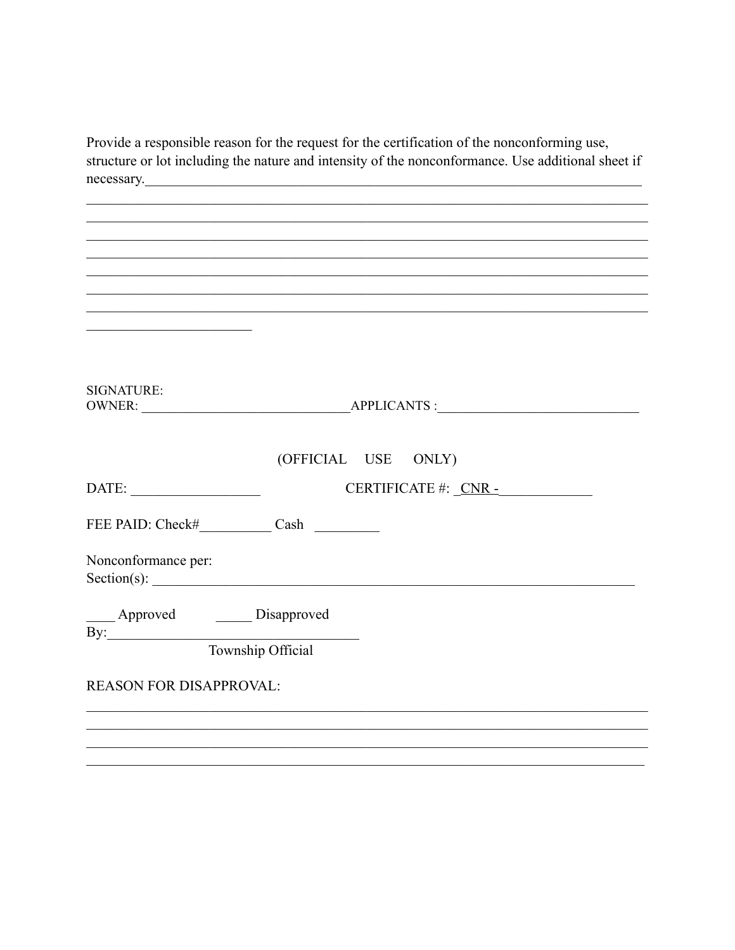Provide a responsible reason for the request for the certification of the nonconforming use, structure or lot including the nature and intensity of the nonconformance. Use additional sheet if necessary.

| <u> 1989 - Johann John Stein, market fan it ferskearre fan it ferskearre fan it ferskearre fan it ferskearre fan i</u> |                     |  |
|------------------------------------------------------------------------------------------------------------------------|---------------------|--|
|                                                                                                                        |                     |  |
| <b>SIGNATURE:</b>                                                                                                      |                     |  |
|                                                                                                                        | (OFFICIAL USE ONLY) |  |
| $\text{DATE:}\underline{\hspace{1.5cm}}$                                                                               |                     |  |
| FEE PAID: Check# Cash                                                                                                  |                     |  |
| Nonconformance per:                                                                                                    | Section(s):         |  |
|                                                                                                                        |                     |  |
|                                                                                                                        |                     |  |
| <b>REASON FOR DISAPPROVAL:</b>                                                                                         |                     |  |
|                                                                                                                        |                     |  |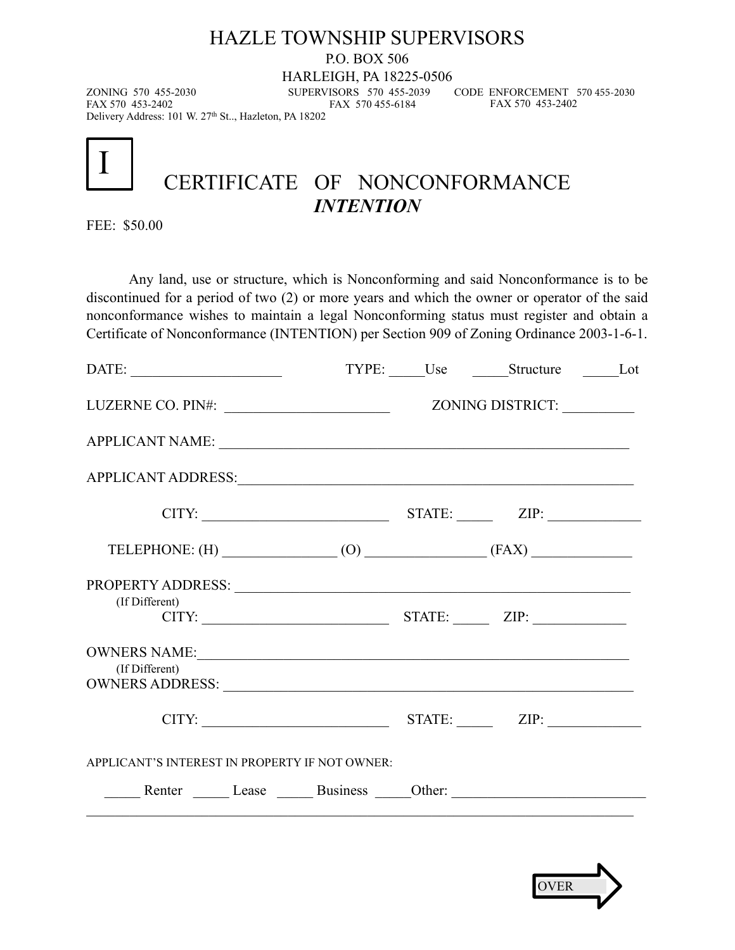#### HAZLE TOWNSHIP SUPERVISORS

P.O. BOX 506

HARLEIGH, PA 18225-0506

FAX 570 455-6184

ZONING 570 455-2030 SUPERVISORS 570 455-2039 Delivery Address: 101 W. 27th St.., Hazleton, PA 18202

 CODE ENFORCEMENT 570 455-2030 FAX 570 453-2402

I

# CERTIFICATE OF NONCONFORMANCE *INTENTION*

FEE: \$50.00

Any land, use or structure, which is Nonconforming and said Nonconformance is to be discontinued for a period of two (2) or more years and which the owner or operator of the said nonconformance wishes to maintain a legal Nonconforming status must register and obtain a Certificate of Nonconformance (INTENTION) per Section 909 of Zoning Ordinance 2003-1-6-1.

|                                                                                                                                                                                                                                                  |                       | TYPE: Use Structure Lot |  |
|--------------------------------------------------------------------------------------------------------------------------------------------------------------------------------------------------------------------------------------------------|-----------------------|-------------------------|--|
| LUZERNE CO. PIN#:                                                                                                                                                                                                                                |                       | ZONING DISTRICT:        |  |
|                                                                                                                                                                                                                                                  |                       |                         |  |
| APPLICANT ADDRESS:                                                                                                                                                                                                                               |                       |                         |  |
|                                                                                                                                                                                                                                                  | $CITY:$ $ZIP:$ $ZIP:$ |                         |  |
| TELEPHONE: $(H)$ (0) (8) (FAX)                                                                                                                                                                                                                   |                       |                         |  |
| PROPERTY ADDRESS: NAME OF STRAIN CONTROL CONTROL CONTROL CONTROL CONTROL CONTROL CONTROL CONTROL CONTROL CONTROL CONTROL CONTROL CONTROL CONTROL CONTROL CONTROL CONTROL CONTROL CONTROL CONTROL CONTROL CONTROL CONTROL CONTR<br>(If Different) | $CITY:$ $ZIP:$        |                         |  |
| (If Different)                                                                                                                                                                                                                                   |                       |                         |  |
|                                                                                                                                                                                                                                                  | $CITY:$ $ZIP:$ $ZIP:$ |                         |  |
| APPLICANT'S INTEREST IN PROPERTY IF NOT OWNER:                                                                                                                                                                                                   |                       |                         |  |
| Renter Lease Business Other:                                                                                                                                                                                                                     |                       |                         |  |
|                                                                                                                                                                                                                                                  |                       |                         |  |

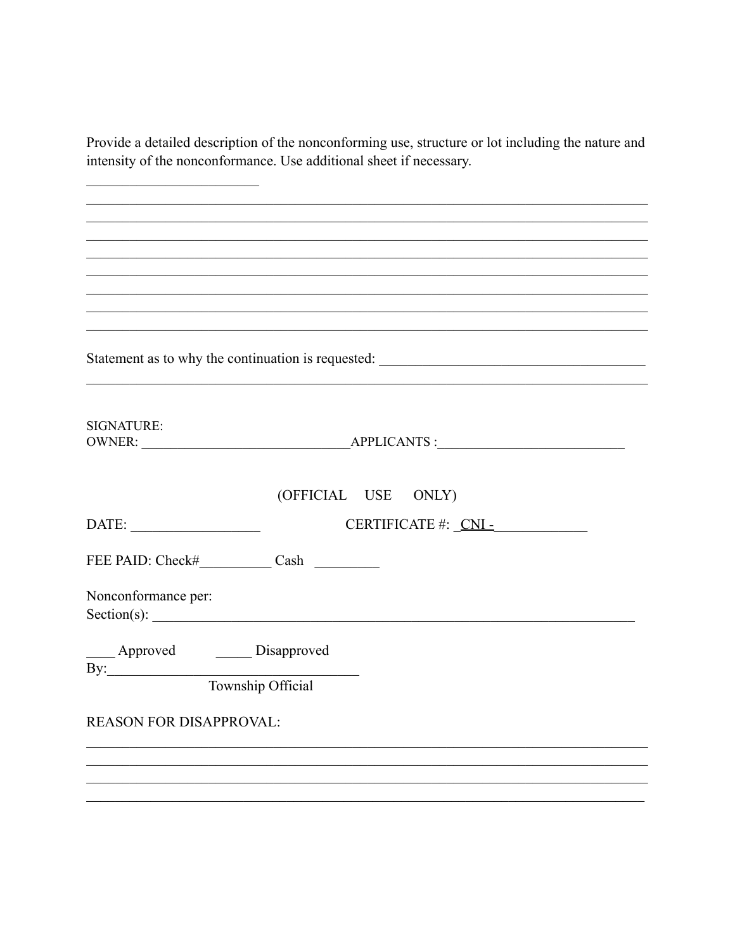Provide a detailed description of the nonconforming use, structure or lot including the nature and intensity of the nonconformance. Use additional sheet if necessary.

Statement as to why the continuation is requested: \_\_\_\_\_\_\_\_\_\_\_\_\_\_\_\_\_\_\_\_\_\_\_\_\_\_\_\_\_\_ **SIGNATURE:** (OFFICIAL USE ONLY) DATE: FEE PAID: Check# Cash Nonconformance per:  $Section(s):$ \_\_\_\_ Approved \_\_\_\_\_\_ Disapproved  $\mathbf{By:}$ Township Official **REASON FOR DISAPPROVAL:**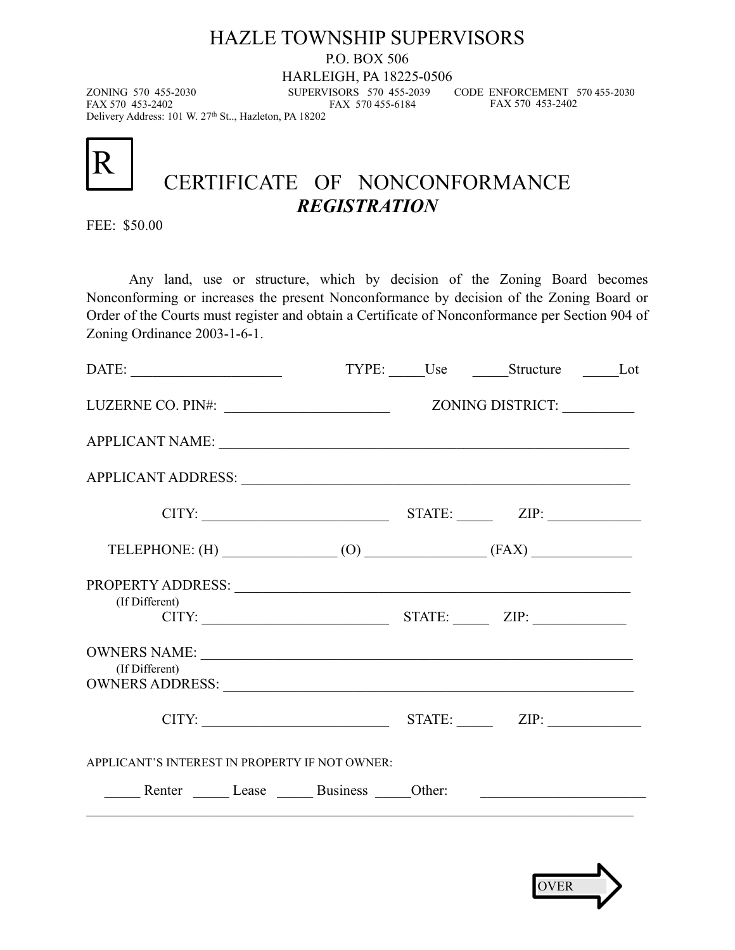#### HAZLE TOWNSHIP SUPERVISORS

P.O. BOX 506

HARLEIGH, PA 18225-0506

FAX 570 455-6184

 CODE ENFORCEMENT 570 455-2030 FAX 570 453-2402

ZONING 570 455-2030 SUPERVISORS 570 455-2039 Delivery Address: 101 W. 27th St.., Hazleton, PA 18202



# CERTIFICATE OF NONCONFORMANCE *REGISTRATION*

FEE: \$50.00

Any land, use or structure, which by decision of the Zoning Board becomes Nonconforming or increases the present Nonconformance by decision of the Zoning Board or Order of the Courts must register and obtain a Certificate of Nonconformance per Section 904 of Zoning Ordinance 2003-1-6-1.

|                                                                                                                                                                                                                               |  | TYPE: Use Structure Lot |  |
|-------------------------------------------------------------------------------------------------------------------------------------------------------------------------------------------------------------------------------|--|-------------------------|--|
|                                                                                                                                                                                                                               |  | ZONING DISTRICT:        |  |
|                                                                                                                                                                                                                               |  |                         |  |
| APPLICANT ADDRESS: University of the contract of the contract of the contract of the contract of the contract of the contract of the contract of the contract of the contract of the contract of the contract of the contract |  |                         |  |
| $CITY:$ $ZIP:$ $ZIP:$                                                                                                                                                                                                         |  |                         |  |
| TELEPHONE: $(H)$ (0) (FAX)                                                                                                                                                                                                    |  |                         |  |
| (If Different)<br>$CITY:$ $ZIP:$ $ZIP:$                                                                                                                                                                                       |  |                         |  |
| (If Different)<br>OWNERS ADDRESS: New York CONNE                                                                                                                                                                              |  |                         |  |
| $CITY:$ $ZIP:$ $ZIP:$                                                                                                                                                                                                         |  |                         |  |
| APPLICANT'S INTEREST IN PROPERTY IF NOT OWNER:                                                                                                                                                                                |  |                         |  |
| Renter Lease Business Other:                                                                                                                                                                                                  |  |                         |  |
|                                                                                                                                                                                                                               |  |                         |  |